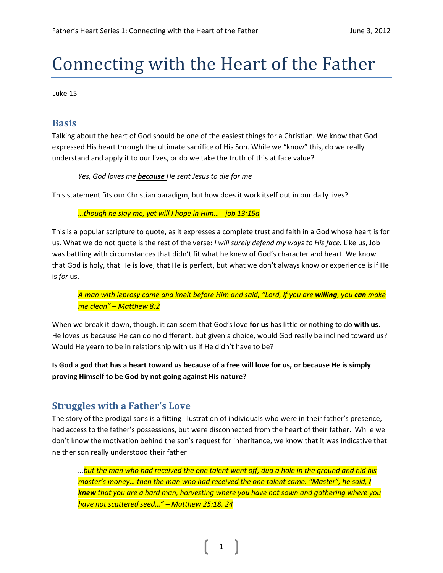# Connecting with the Heart of the Father

Luke 15

## **Basis**

Talking about the heart of God should be one of the easiest things for a Christian. We know that God expressed His heart through the ultimate sacrifice of His Son. While we "know" this, do we really understand and apply it to our lives, or do we take the truth of this at face value?

*Yes, God loves me because He sent Jesus to die for me*

This statement fits our Christian paradigm, but how does it work itself out in our daily lives?

*…though he slay me, yet will I hope in Him… - job 13:15a*

This is a popular scripture to quote, as it expresses a complete trust and faith in a God whose heart is for us. What we do not quote is the rest of the verse: *I will surely defend my ways to His face.* Like us, Job was battling with circumstances that didn't fit what he knew of God's character and heart. We know that God is holy, that He is love, that He is perfect, but what we don't always know or experience is if He is *for* us.

*A man with leprosy came and knelt before Him and said, "Lord, if you are willing, you can make me clean" – Matthew 8:2*

When we break it down, though, it can seem that God's love **for us** has little or nothing to do **with us**. He loves us because He can do no different, but given a choice, would God really be inclined toward us? Would He yearn to be in relationship with us if He didn't have to be?

**Is God a god that has a heart toward us because of a free will love for us, or because He is simply proving Himself to be God by not going against His nature?** 

# **Struggles with a Father's Love**

The story of the prodigal sons is a fitting illustration of individuals who were in their father's presence, had access to the father's possessions, but were disconnected from the heart of their father. While we don't know the motivation behind the son's request for inheritance, we know that it was indicative that neither son really understood their father

*…but the man who had received the one talent went off, dug a hole in the ground and hid his master's money… then the man who had received the one talent came. "Master", he said, I knew that you are a hard man, harvesting where you have not sown and gathering where you have not scattered seed…" – Matthew 25:18, 24*

1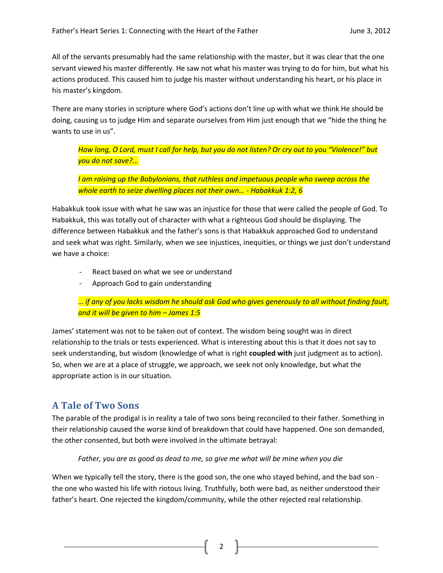All of the servants presumably had the same relationship with the master, but it was clear that the one servant viewed his master differently. He saw not what his master was trying to do for him, but what his actions produced. This caused him to judge his master without understanding his heart, or his place in his master's kingdom.

There are many stories in scripture where God's actions don't line up with what we think He should be doing, causing us to judge Him and separate ourselves from Him just enough that we "hide the thing he wants to use in us".

*How long, O Lord, must I call for help, but you do not listen? Or cry out to you "Violence!" but you do not save?...* 

*I am raising up the Babylonians, that ruthless and impetuous people who sweep across the whole earth to seize dwelling places not their own… - Habakkuk 1:2, 6*

Habakkuk took issue with what he saw was an injustice for those that were called the people of God. To Habakkuk, this was totally out of character with what a righteous God should be displaying. The difference between Habakkuk and the father's sons is that Habakkuk approached God to understand and seek what was right. Similarly, when we see injustices, inequities, or things we just don't understand we have a choice:

- React based on what we see or understand
- Approach God to gain understanding

*… if any of you lacks wisdom he should ask God who gives generously to all without finding fault, and it will be given to him – James 1:5*

James' statement was not to be taken out of context. The wisdom being sought was in direct relationship to the trials or tests experienced. What is interesting about this is that it does not say to seek understanding, but wisdom (knowledge of what is right **coupled with** just judgment as to action). So, when we are at a place of struggle, we approach, we seek not only knowledge, but what the appropriate action is in our situation.

# **A Tale of Two Sons**

The parable of the prodigal is in reality a tale of two sons being reconciled to their father. Something in their relationship caused the worse kind of breakdown that could have happened. One son demanded, the other consented, but both were involved in the ultimate betrayal:

*Father, you are as good as dead to me, so give me what will be mine when you die*

When we typically tell the story, there is the good son, the one who stayed behind, and the bad son the one who wasted his life with riotous living. Truthfully, both were bad, as neither understood their father's heart. One rejected the kingdom/community, while the other rejected real relationship.

2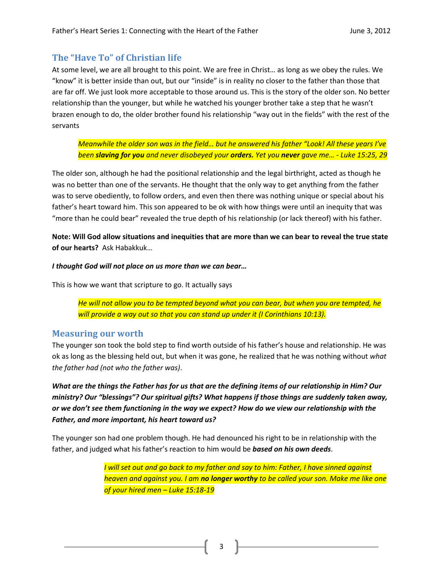### **The "Have To" of Christian life**

At some level, we are all brought to this point. We are free in Christ… as long as we obey the rules. We "know" it is better inside than out, but our "inside" is in reality no closer to the father than those that are far off. We just look more acceptable to those around us. This is the story of the older son. No better relationship than the younger, but while he watched his younger brother take a step that he wasn't brazen enough to do, the older brother found his relationship "way out in the fields" with the rest of the servants

*Meanwhile the older son was in the field… but he answered his father "Look! All these years I've been slaving for you and never disobeyed your orders. Yet you never gave me… - Luke 15:25, 29*

The older son, although he had the positional relationship and the legal birthright, acted as though he was no better than one of the servants. He thought that the only way to get anything from the father was to serve obediently, to follow orders, and even then there was nothing unique or special about his father's heart toward him. This son appeared to be ok with how things were until an inequity that was "more than he could bear" revealed the true depth of his relationship (or lack thereof) with his father.

**Note: Will God allow situations and inequities that are more than we can bear to reveal the true state of our hearts?** Ask Habakkuk…

#### *I thought God will not place on us more than we can bear…*

This is how we want that scripture to go. It actually says

*He will not allow you to be tempted beyond what you can bear, but when you are tempted, he will provide a way out so that you can stand up under it (I Corinthians 10:13).*

#### **Measuring our worth**

The younger son took the bold step to find worth outside of his father's house and relationship. He was ok as long as the blessing held out, but when it was gone, he realized that he was nothing without *what the father had (not who the father was)*.

*What are the things the Father has for us that are the defining items of our relationship in Him? Our ministry? Our "blessings"? Our spiritual gifts? What happens if those things are suddenly taken away, or we don't see them functioning in the way we expect? How do we view our relationship with the Father, and more important, his heart toward us?*

The younger son had one problem though. He had denounced his right to be in relationship with the father, and judged what his father's reaction to him would be *based on his own deeds*.

> *I will set out and go back to my father and say to him: Father, I have sinned against heaven and against you. I am no longer worthy to be called your son. Make me like one of your hired men – Luke 15:18-19*

> > 3